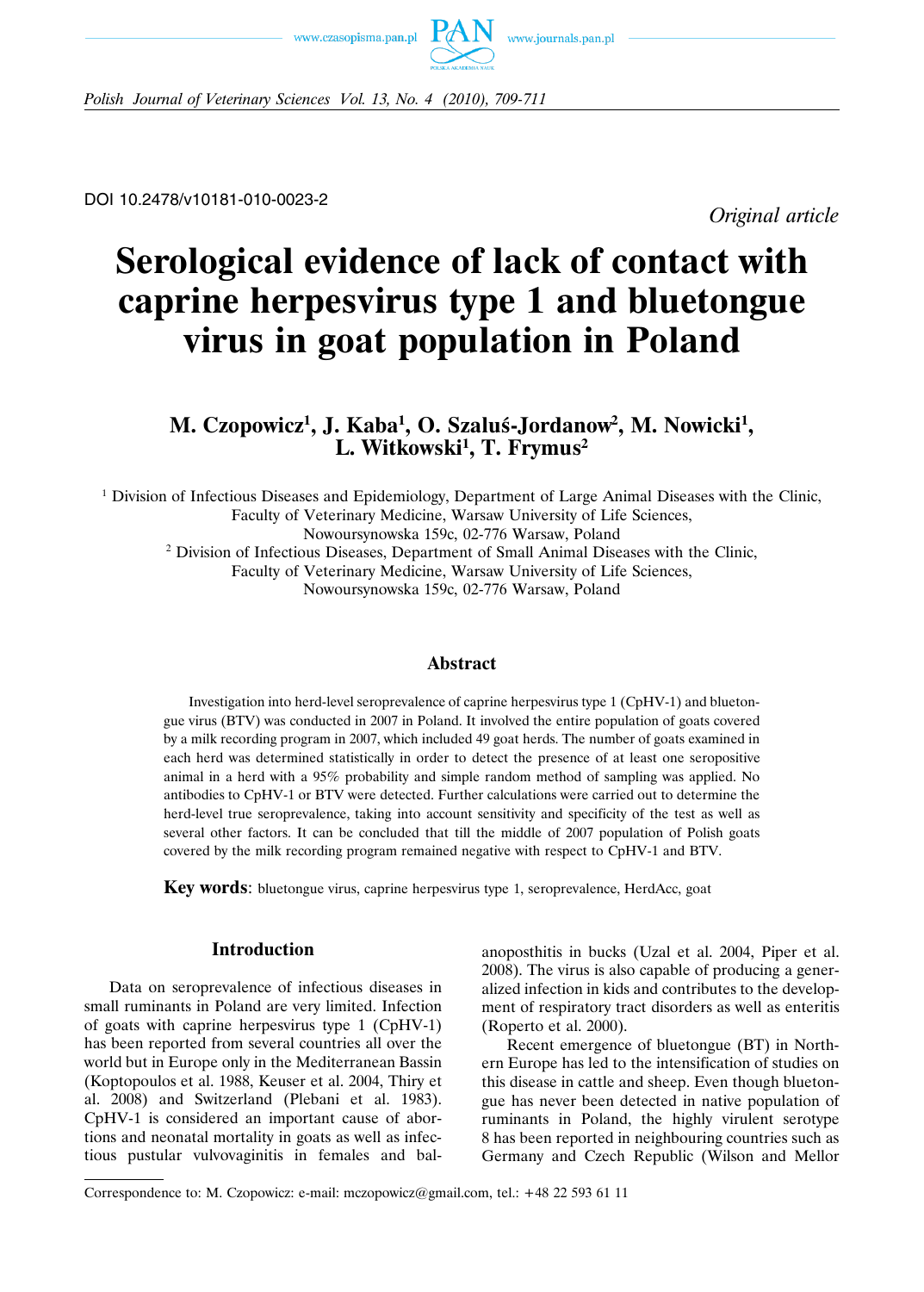



*Polish Journal of Veterinary Sciences Vol. 13, No. 4 (2010), 709-711*

DOI 10.2478/v10181-010-0023-2

*Original article*

# **Serological evidence of lack of contact with caprine herpesvirus type 1 and bluetongue virus in goat population in Poland**

# M. Czopowicz<sup>1</sup>, J. Kaba<sup>1</sup>, O. Szaluś-Jordanow<sup>2</sup>, M. Nowicki<sup>1</sup>, **L. Witkowski1 , T. Frymus2**

<sup>1</sup> Division of Infectious Diseases and Epidemiology, Department of Large Animal Diseases with the Clinic, Faculty of Veterinary Medicine, Warsaw University of Life Sciences, Nowoursynowska 159c, 02-776 Warsaw, Poland <sup>2</sup> Division of Infectious Diseases, Department of Small Animal Diseases with the Clinic, Faculty of Veterinary Medicine, Warsaw University of Life Sciences, Nowoursynowska 159c, 02-776 Warsaw, Poland

## **Abstract**

Investigation into herd-level seroprevalence of caprine herpesvirus type 1 (CpHV-1) and bluetongue virus (BTV) was conducted in 2007 in Poland. It involved the entire population of goats covered by a milk recording program in 2007, which included 49 goat herds. The number of goats examined in each herd was determined statistically in order to detect the presence of at least one seropositive animal in a herd with a 95% probability and simple random method of sampling was applied. No antibodies to CpHV-1 or BTV were detected. Further calculations were carried out to determine the herd-level true seroprevalence, taking into account sensitivity and specificity of the test as well as several other factors. It can be concluded that till the middle of 2007 population of Polish goats covered by the milk recording program remained negative with respect to CpHV-1 and BTV.

**Key words**: bluetongue virus, caprine herpesvirus type 1, seroprevalence, HerdAcc, goat

# **Introduction**

Data on seroprevalence of infectious diseases in small ruminants in Poland are very limited. Infection of goats with caprine herpesvirus type 1 (CpHV-1) has been reported from several countries all over the world but in Europe only in the Mediterranean Bassin (Koptopoulos et al. 1988, Keuser et al. 2004, Thiry et al. 2008) and Switzerland (Plebani et al. 1983). CpHV-1 is considered an important cause of abortions and neonatal mortality in goats as well as infectious pustular vulvovaginitis in females and bal-

anoposthitis in bucks (Uzal et al. 2004, Piper et al. 2008). The virus is also capable of producing a generalized infection in kids and contributes to the development of respiratory tract disorders as well as enteritis (Roperto et al. 2000).

Recent emergence of bluetongue (BT) in Northern Europe has led to the intensification of studies on this disease in cattle and sheep. Even though bluetongue has never been detected in native population of ruminants in Poland, the highly virulent serotype 8 has been reported in neighbouring countries such as Germany and Czech Republic (Wilson and Mellor

Correspondence to: M. Czopowicz: e-mail: mczopowicz@gmail.com, tel.: +48 22 593 61 11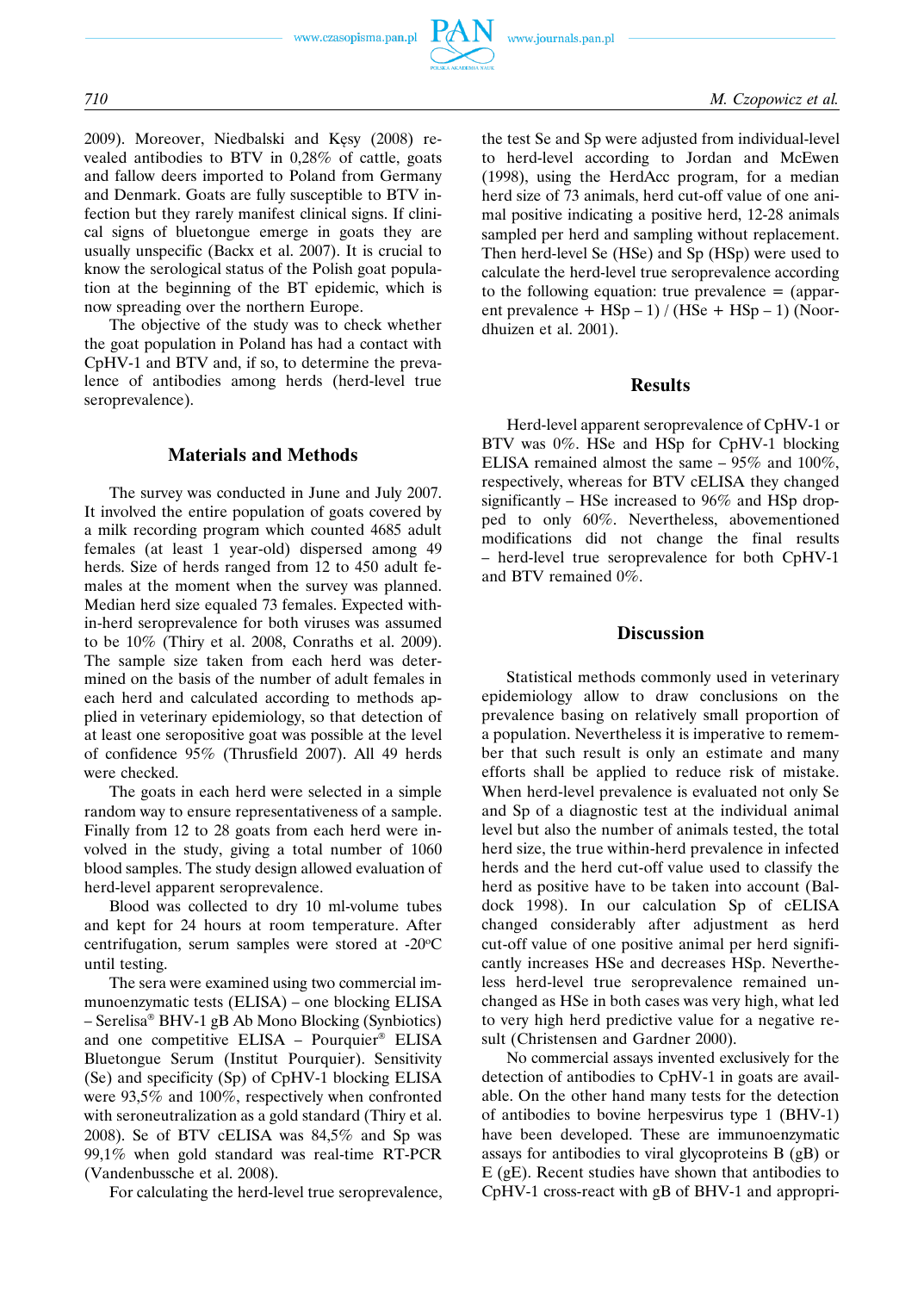www.czasopisma.pan.pl



2009). Moreover, Niedbalski and Kęsy (2008) revealed antibodies to BTV in 0,28% of cattle, goats and fallow deers imported to Poland from Germany and Denmark. Goats are fully susceptible to BTV infection but they rarely manifest clinical signs. If clinical signs of bluetongue emerge in goats they are usually unspecific (Backx et al. 2007). It is crucial to know the serological status of the Polish goat population at the beginning of the BT epidemic, which is now spreading over the northern Europe.

The objective of the study was to check whether the goat population in Poland has had a contact with CpHV-1 and BTV and, if so, to determine the prevalence of antibodies among herds (herd-level true seroprevalence).

#### **Materials and Methods**

The survey was conducted in June and July 2007. It involved the entire population of goats covered by a milk recording program which counted 4685 adult females (at least 1 year-old) dispersed among 49 herds. Size of herds ranged from 12 to 450 adult females at the moment when the survey was planned. Median herd size equaled 73 females. Expected within-herd seroprevalence for both viruses was assumed to be 10% (Thiry et al. 2008, Conraths et al. 2009). The sample size taken from each herd was determined on the basis of the number of adult females in each herd and calculated according to methods applied in veterinary epidemiology, so that detection of at least one seropositive goat was possible at the level of confidence 95% (Thrusfield 2007). All 49 herds were checked.

The goats in each herd were selected in a simple random way to ensure representativeness of a sample. Finally from 12 to 28 goats from each herd were involved in the study, giving a total number of 1060 blood samples. The study design allowed evaluation of herd-level apparent seroprevalence.

Blood was collected to dry 10 ml-volume tubes and kept for 24 hours at room temperature. After centrifugation, serum samples were stored at -20°C until testing.

The sera were examined using two commercial immunoenzymatic tests (ELISA) – one blocking ELISA – Serelisa® BHV-1 gB Ab Mono Blocking (Synbiotics) and one competitive ELISA – Pourquier® ELISA Bluetongue Serum (Institut Pourquier). Sensitivity (Se) and specificity (Sp) of CpHV-1 blocking ELISA were 93,5% and 100%, respectively when confronted with seroneutralization as a gold standard (Thiry et al. 2008). Se of BTV cELISA was 84,5% and Sp was 99,1% when gold standard was real-time RT-PCR (Vandenbussche et al. 2008).

For calculating the herd-level true seroprevalence,

the test Se and Sp were adjusted from individual-level to herd-level according to Jordan and McEwen (1998), using the HerdAcc program, for a median herd size of 73 animals, herd cut-off value of one animal positive indicating a positive herd, 12-28 animals sampled per herd and sampling without replacement. Then herd-level Se (HSe) and Sp (HSp) were used to calculate the herd-level true seroprevalence according to the following equation: true prevalence = (apparent prevalence + HSp – 1) / (HSe + HSp – 1) (Noordhuizen et al. 2001).

#### **Results**

Herd-level apparent seroprevalence of CpHV-1 or BTV was 0%. HSe and HSp for CpHV-1 blocking ELISA remained almost the same – 95% and 100%, respectively, whereas for BTV cELISA they changed significantly – HSe increased to 96% and HSp dropped to only 60%. Nevertheless, abovementioned modifications did not change the final results – herd-level true seroprevalence for both CpHV-1 and BTV remained 0%.

#### **Discussion**

Statistical methods commonly used in veterinary epidemiology allow to draw conclusions on the prevalence basing on relatively small proportion of a population. Nevertheless it is imperative to remember that such result is only an estimate and many efforts shall be applied to reduce risk of mistake. When herd-level prevalence is evaluated not only Se and Sp of a diagnostic test at the individual animal level but also the number of animals tested, the total herd size, the true within-herd prevalence in infected herds and the herd cut-off value used to classify the herd as positive have to be taken into account (Baldock 1998). In our calculation Sp of cELISA changed considerably after adjustment as herd cut-off value of one positive animal per herd significantly increases HSe and decreases HSp. Nevertheless herd-level true seroprevalence remained unchanged as HSe in both cases was very high, what led to very high herd predictive value for a negative result (Christensen and Gardner 2000).

No commercial assays invented exclusively for the detection of antibodies to CpHV-1 in goats are available. On the other hand many tests for the detection of antibodies to bovine herpesvirus type 1 (BHV-1) have been developed. These are immunoenzymatic assays for antibodies to viral glycoproteins B (gB) or E (gE). Recent studies have shown that antibodies to CpHV-1 cross-react with gB of BHV-1 and appropri